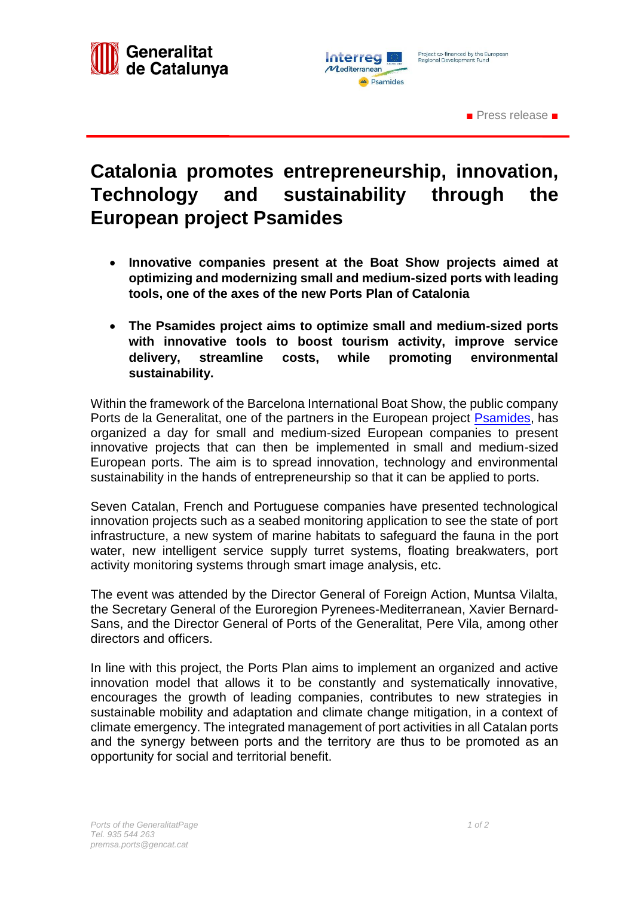

■ Press release ■

## **Catalonia promotes entrepreneurship, innovation, Technology and sustainability through the European project Psamides**

- **Innovative companies present at the Boat Show projects aimed at optimizing and modernizing small and medium-sized ports with leading tools, one of the axes of the new Ports Plan of Catalonia**
- **The Psamides project aims to optimize small and medium-sized ports with innovative tools to boost tourism activity, improve service delivery, streamline costs, while promoting environmental sustainability.**

Within the framework of the Barcelona International Boat Show, the public company Ports de la Generalitat, one of the partners in the European project [Psamides,](https://psamides.interreg-med.eu/) has organized a day for small and medium-sized European companies to present innovative projects that can then be implemented in small and medium-sized European ports. The aim is to spread innovation, technology and environmental sustainability in the hands of entrepreneurship so that it can be applied to ports.

Seven Catalan, French and Portuguese companies have presented technological innovation projects such as a seabed monitoring application to see the state of port infrastructure, a new system of marine habitats to safeguard the fauna in the port water, new intelligent service supply turret systems, floating breakwaters, port activity monitoring systems through smart image analysis, etc.

The event was attended by the Director General of Foreign Action, Muntsa Vilalta, the Secretary General of the Euroregion Pyrenees-Mediterranean, Xavier Bernard-Sans, and the Director General of Ports of the Generalitat, Pere Vila, among other directors and officers.

In line with this project, the Ports Plan aims to implement an organized and active innovation model that allows it to be constantly and systematically innovative, encourages the growth of leading companies, contributes to new strategies in sustainable mobility and adaptation and climate change mitigation, in a context of climate emergency. The integrated management of port activities in all Catalan ports and the synergy between ports and the territory are thus to be promoted as an opportunity for social and territorial benefit.